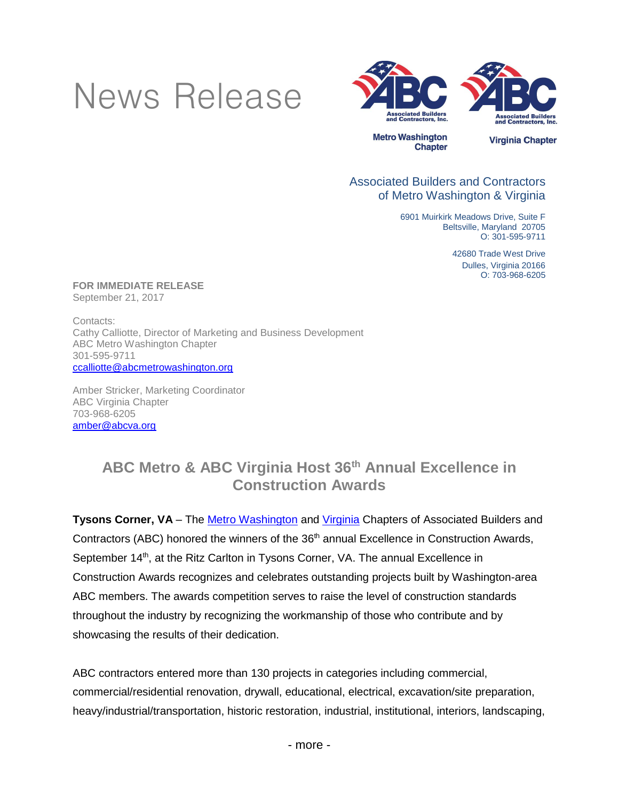# News Release



#### Associated Builders and Contractors of Metro Washington & Virginia

6901 Muirkirk Meadows Drive, Suite F Beltsville, Maryland 20705 O: 301-595-9711

> **.**42680 Trade West Drive Dulles, Virginia 20166 O: 703-968-6205

**FOR IMMEDIATE RELEASE** September 21, 2017

Contacts: Cathy Calliotte, Director of Marketing and Business Development ABC Metro Washington Chapter 301-595-9711 [ccalliotte@abcmetrowashington.org](mailto:ccalliotte@abcmetrowashington.org)

Amber Stricker, Marketing Coordinator ABC Virginia Chapter 703-968-6205 [amber@abcva.org](mailto:amber@abcva.org)

## **ABC Metro & ABC Virginia Host 36th Annual Excellence in Construction Awards**

**Tysons Corner, VA** – The **[Metro Washington](http://www.abcmetrowashington.org/)** and *Virginia* Chapters of Associated Builders and Contractors (ABC) honored the winners of the 36<sup>th</sup> annual Excellence in Construction Awards, September 14<sup>th</sup>, at the Ritz Carlton in Tysons Corner, VA. The annual Excellence in Construction Awards recognizes and celebrates outstanding projects built by Washington-area ABC members. The awards competition serves to raise the level of construction standards throughout the industry by recognizing the workmanship of those who contribute and by showcasing the results of their dedication.

ABC contractors entered more than 130 projects in categories including commercial, commercial/residential renovation, drywall, educational, electrical, excavation/site preparation, heavy/industrial/transportation, historic restoration, industrial, institutional, interiors, landscaping,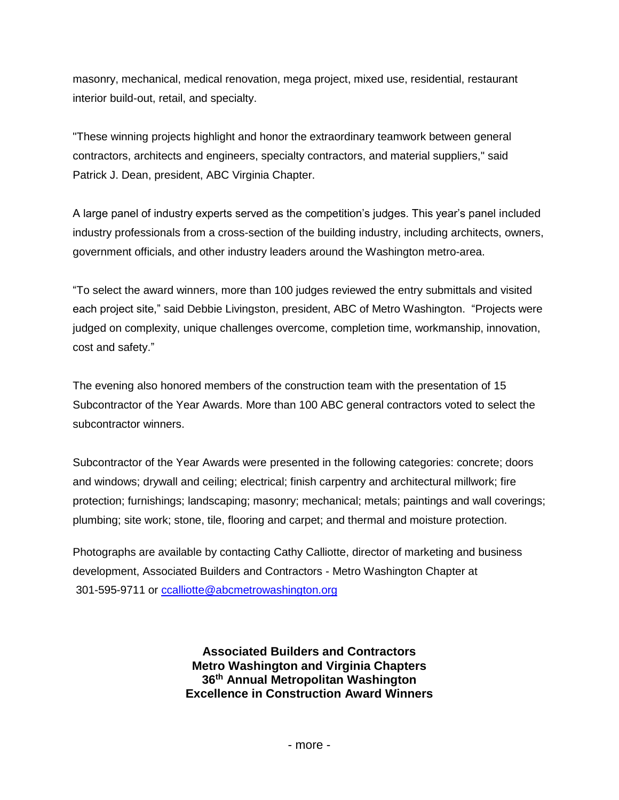masonry, mechanical, medical renovation, mega project, mixed use, residential, restaurant interior build-out, retail, and specialty.

"These winning projects highlight and honor the extraordinary teamwork between general contractors, architects and engineers, specialty contractors, and material suppliers," said Patrick J. Dean, president, ABC Virginia Chapter.

A large panel of industry experts served as the competition's judges. This year's panel included industry professionals from a cross-section of the building industry, including architects, owners, government officials, and other industry leaders around the Washington metro-area.

"To select the award winners, more than 100 judges reviewed the entry submittals and visited each project site," said Debbie Livingston, president, ABC of Metro Washington. "Projects were judged on complexity, unique challenges overcome, completion time, workmanship, innovation, cost and safety."

The evening also honored members of the construction team with the presentation of 15 Subcontractor of the Year Awards. More than 100 ABC general contractors voted to select the subcontractor winners.

Subcontractor of the Year Awards were presented in the following categories: concrete; doors and windows; drywall and ceiling; electrical; finish carpentry and architectural millwork; fire protection; furnishings; landscaping; masonry; mechanical; metals; paintings and wall coverings; plumbing; site work; stone, tile, flooring and carpet; and thermal and moisture protection.

Photographs are available by contacting Cathy Calliotte, director of marketing and business development, Associated Builders and Contractors - Metro Washington Chapter at 301-595-9711 or [ccalliotte@abcmetrowashington.org](mailto:ccalliotte@abcmetrowashington.org)

> **Associated Builders and Contractors Metro Washington and Virginia Chapters 36th Annual Metropolitan Washington Excellence in Construction Award Winners**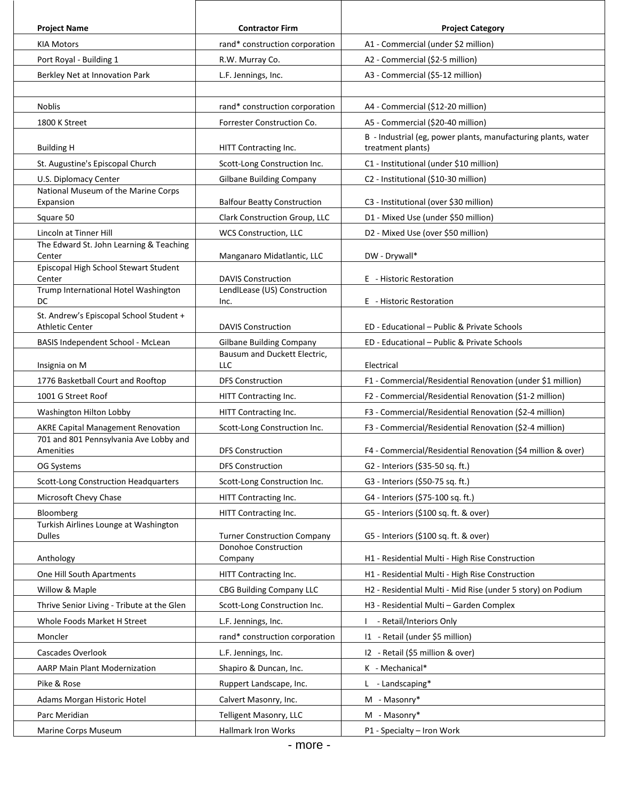| <b>Project Name</b>                                               | <b>Contractor Firm</b>                                     | <b>Project Category</b>                                                            |
|-------------------------------------------------------------------|------------------------------------------------------------|------------------------------------------------------------------------------------|
| <b>KIA Motors</b>                                                 | rand* construction corporation                             | A1 - Commercial (under \$2 million)                                                |
| Port Royal - Building 1                                           | R.W. Murray Co.                                            | A2 - Commercial (\$2-5 million)                                                    |
| Berkley Net at Innovation Park                                    | L.F. Jennings, Inc.                                        | A3 - Commercial (\$5-12 million)                                                   |
|                                                                   |                                                            |                                                                                    |
| Noblis                                                            | rand* construction corporation                             | A4 - Commercial (\$12-20 million)                                                  |
| 1800 K Street                                                     | Forrester Construction Co.                                 | A5 - Commercial (\$20-40 million)                                                  |
| <b>Building H</b>                                                 | HITT Contracting Inc.                                      | B - Industrial (eg, power plants, manufacturing plants, water<br>treatment plants) |
| St. Augustine's Episcopal Church                                  | Scott-Long Construction Inc.                               | C1 - Institutional (under \$10 million)                                            |
| U.S. Diplomacy Center                                             | <b>Gilbane Building Company</b>                            | C2 - Institutional (\$10-30 million)                                               |
| National Museum of the Marine Corps                               |                                                            |                                                                                    |
| Expansion                                                         | <b>Balfour Beatty Construction</b>                         | C3 - Institutional (over \$30 million)                                             |
| Square 50                                                         | Clark Construction Group, LLC                              | D1 - Mixed Use (under \$50 million)                                                |
| Lincoln at Tinner Hill<br>The Edward St. John Learning & Teaching | WCS Construction, LLC                                      | D2 - Mixed Use (over \$50 million)                                                 |
| Center                                                            | Manganaro Midatlantic, LLC                                 | DW - Drywall*                                                                      |
| Episcopal High School Stewart Student<br>Center                   | <b>DAVIS Construction</b>                                  | E - Historic Restoration                                                           |
| Trump International Hotel Washington<br>DC                        | LendILease (US) Construction<br>Inc.                       | E - Historic Restoration                                                           |
| St. Andrew's Episcopal School Student +<br><b>Athletic Center</b> | <b>DAVIS Construction</b>                                  | ED - Educational - Public & Private Schools                                        |
| BASIS Independent School - McLean                                 | <b>Gilbane Building Company</b>                            | ED - Educational - Public & Private Schools                                        |
| Insignia on M                                                     | Bausum and Duckett Electric,<br>LLC                        | Electrical                                                                         |
| 1776 Basketball Court and Rooftop                                 | <b>DFS Construction</b>                                    | F1 - Commercial/Residential Renovation (under \$1 million)                         |
| 1001 G Street Roof                                                | HITT Contracting Inc.                                      | F2 - Commercial/Residential Renovation (\$1-2 million)                             |
| Washington Hilton Lobby                                           | HITT Contracting Inc.                                      | F3 - Commercial/Residential Renovation (\$2-4 million)                             |
| <b>AKRE Capital Management Renovation</b>                         | Scott-Long Construction Inc.                               | F3 - Commercial/Residential Renovation (\$2-4 million)                             |
| 701 and 801 Pennsylvania Ave Lobby and<br>Amenities               | <b>DFS Construction</b>                                    | F4 - Commercial/Residential Renovation (\$4 million & over)                        |
| OG Systems                                                        | <b>DFS Construction</b>                                    | G2 - Interiors (\$35-50 sq. ft.)                                                   |
| Scott-Long Construction Headquarters                              | Scott-Long Construction Inc.                               | G3 - Interiors (\$50-75 sq. ft.)                                                   |
| Microsoft Chevy Chase                                             | HITT Contracting Inc.                                      | G4 - Interiors (\$75-100 sq. ft.)                                                  |
| Bloomberg                                                         | HITT Contracting Inc.                                      | G5 - Interiors (\$100 sq. ft. & over)                                              |
| Turkish Airlines Lounge at Washington<br>Dulles                   | <b>Turner Construction Company</b><br>Donohoe Construction | G5 - Interiors (\$100 sq. ft. & over)                                              |
| Anthology                                                         | Company                                                    | H1 - Residential Multi - High Rise Construction                                    |
| One Hill South Apartments                                         | HITT Contracting Inc.                                      | H1 - Residential Multi - High Rise Construction                                    |
| Willow & Maple                                                    | CBG Building Company LLC                                   | H2 - Residential Multi - Mid Rise (under 5 story) on Podium                        |
| Thrive Senior Living - Tribute at the Glen                        | Scott-Long Construction Inc.                               | H3 - Residential Multi - Garden Complex                                            |
| Whole Foods Market H Street                                       | L.F. Jennings, Inc.                                        | - Retail/Interiors Only                                                            |
| Moncler                                                           | rand* construction corporation                             | I1 - Retail (under \$5 million)                                                    |
| Cascades Overlook                                                 | L.F. Jennings, Inc.                                        | I2 - Retail (\$5 million & over)                                                   |
| AARP Main Plant Modernization                                     | Shapiro & Duncan, Inc.                                     | K - Mechanical*                                                                    |
| Pike & Rose                                                       | Ruppert Landscape, Inc.                                    | L - Landscaping*                                                                   |
| Adams Morgan Historic Hotel                                       | Calvert Masonry, Inc.                                      | $M - Masonry*$                                                                     |
| Parc Meridian                                                     | Telligent Masonry, LLC                                     | M - Masonry*                                                                       |
| Marine Corps Museum                                               | <b>Hallmark Iron Works</b>                                 | P1 - Specialty - Iron Work                                                         |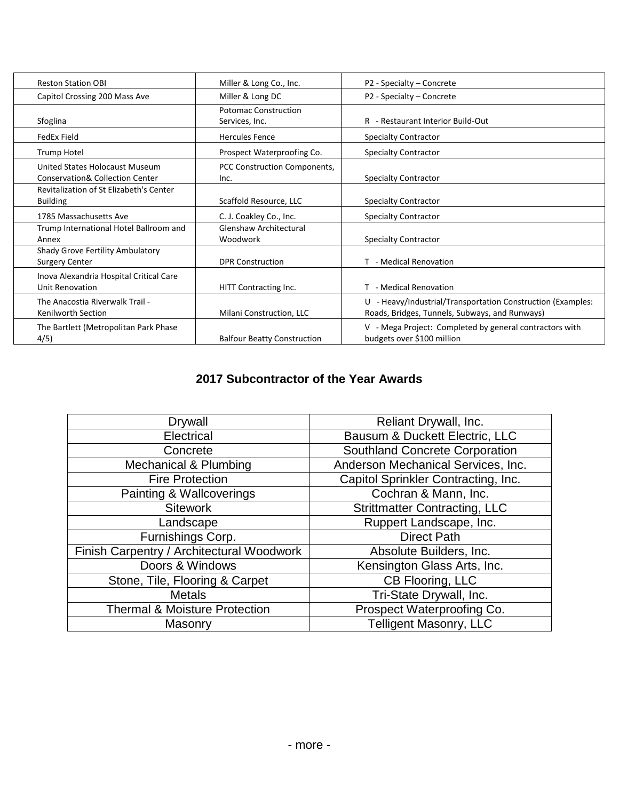| <b>Reston Station OBI</b>                                                    | Miller & Long Co., Inc.                       | P2 - Specialty - Concrete                                                                                     |
|------------------------------------------------------------------------------|-----------------------------------------------|---------------------------------------------------------------------------------------------------------------|
| Capitol Crossing 200 Mass Ave                                                | Miller & Long DC                              | P2 - Specialty - Concrete                                                                                     |
| Sfoglina                                                                     | <b>Potomac Construction</b><br>Services, Inc. | R - Restaurant Interior Build-Out                                                                             |
| FedEx Field                                                                  | <b>Hercules Fence</b>                         | <b>Specialty Contractor</b>                                                                                   |
| <b>Trump Hotel</b>                                                           | Prospect Waterproofing Co.                    | <b>Specialty Contractor</b>                                                                                   |
| United States Holocaust Museum<br><b>Conservation&amp; Collection Center</b> | PCC Construction Components,<br>Inc.          | <b>Specialty Contractor</b>                                                                                   |
| Revitalization of St Elizabeth's Center<br><b>Building</b>                   | Scaffold Resource, LLC                        | <b>Specialty Contractor</b>                                                                                   |
| 1785 Massachusetts Ave                                                       | C. J. Coakley Co., Inc.                       | <b>Specialty Contractor</b>                                                                                   |
| Trump International Hotel Ballroom and<br>Annex                              | Glenshaw Architectural<br>Woodwork            | <b>Specialty Contractor</b>                                                                                   |
| Shady Grove Fertility Ambulatory<br><b>Surgery Center</b>                    | <b>DPR Construction</b>                       | T - Medical Renovation                                                                                        |
| Inova Alexandria Hospital Critical Care<br>Unit Renovation                   | HITT Contracting Inc.                         | T - Medical Renovation                                                                                        |
| The Anacostia Riverwalk Trail -<br><b>Kenilworth Section</b>                 | Milani Construction, LLC                      | U - Heavy/Industrial/Transportation Construction (Examples:<br>Roads, Bridges, Tunnels, Subways, and Runways) |
| The Bartlett (Metropolitan Park Phase<br>4/5)                                | <b>Balfour Beatty Construction</b>            | V - Mega Project: Completed by general contractors with<br>budgets over \$100 million                         |

### **2017 Subcontractor of the Year Awards**

| <b>Drywall</b>                            | Reliant Drywall, Inc.                |
|-------------------------------------------|--------------------------------------|
| Electrical                                | Bausum & Duckett Electric, LLC       |
| Concrete                                  | Southland Concrete Corporation       |
| Mechanical & Plumbing                     | Anderson Mechanical Services, Inc.   |
| <b>Fire Protection</b>                    | Capitol Sprinkler Contracting, Inc.  |
| Painting & Wallcoverings                  | Cochran & Mann, Inc.                 |
| <b>Sitework</b>                           | <b>Strittmatter Contracting, LLC</b> |
| Landscape                                 | Ruppert Landscape, Inc.              |
| Furnishings Corp.                         | <b>Direct Path</b>                   |
| Finish Carpentry / Architectural Woodwork | Absolute Builders, Inc.              |
| Doors & Windows                           | Kensington Glass Arts, Inc.          |
| Stone, Tile, Flooring & Carpet            | CB Flooring, LLC                     |
| <b>Metals</b>                             | Tri-State Drywall, Inc.              |
| <b>Thermal &amp; Moisture Protection</b>  | Prospect Waterproofing Co.           |
| Masonry                                   | <b>Telligent Masonry, LLC</b>        |